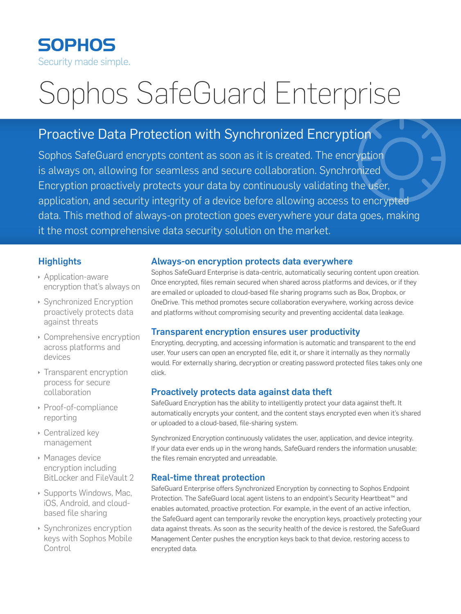

# Sophos SafeGuard Enterprise

## Proactive Data Protection with Synchronized Encryption

Sophos SafeGuard encrypts content as soon as it is created. The encryption is always on, allowing for seamless and secure collaboration. Synchronized Encryption proactively protects your data by continuously validating the user, application, and security integrity of a device before allowing access to encrypted data. This method of always-on protection goes everywhere your data goes, making it the most comprehensive data security solution on the market.

#### **Highlights**

- **Application-aware** encryption that's always on
- **Synchronized Encryption** proactively protects data against threats
- $\rightarrow$  Comprehensive encryption across platforms and devices
- $\rightarrow$  Transparent encryption process for secure collaboration
- ▶ Proof-of-compliance reporting
- **Centralized key** management
- **Manages device** encryption including BitLocker and FileVault 2
- **Supports Windows, Mac,** iOS, Android, and cloudbased file sharing
- **Synchronizes encryption** keys with Sophos Mobile Control

#### Always-on encryption protects data everywhere

Sophos SafeGuard Enterprise is data-centric, automatically securing content upon creation. Once encrypted, files remain secured when shared across platforms and devices, or if they are emailed or uploaded to cloud-based file sharing programs such as Box, Dropbox, or OneDrive. This method promotes secure collaboration everywhere, working across device and platforms without compromising security and preventing accidental data leakage.

#### Transparent encryption ensures user productivity

Encrypting, decrypting, and accessing information is automatic and transparent to the end user. Your users can open an encrypted file, edit it, or share it internally as they normally would. For externally sharing, decryption or creating password protected files takes only one click.

#### Proactively protects data against data theft

SafeGuard Encryption has the ability to intelligently protect your data against theft. It automatically encrypts your content, and the content stays encrypted even when it's shared or uploaded to a cloud-based, file-sharing system.

Synchronized Encryption continuously validates the user, application, and device integrity. If your data ever ends up in the wrong hands, SafeGuard renders the information unusable; the files remain encrypted and unreadable.

#### Real-time threat protection

SafeGuard Enterprise offers Synchronized Encryption by connecting to Sophos Endpoint Protection. The SafeGuard local agent listens to an endpoint's Security Heartbeat™ and enables automated, proactive protection. For example, in the event of an active infection, the SafeGuard agent can temporarily revoke the encryption keys, proactively protecting your data against threats. As soon as the security health of the device is restored, the SafeGuard Management Center pushes the encryption keys back to that device, restoring access to encrypted data.